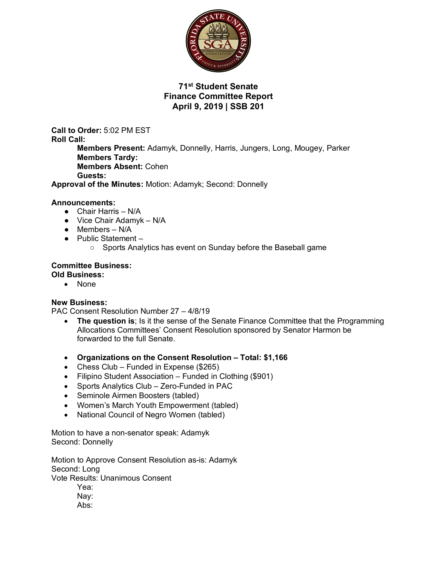

# **71st Student Senate Finance Committee Report April 9, 2019 | SSB 201**

**Call to Order:** 5:02 PM EST **Roll Call: Members Present:** Adamyk, Donnelly, Harris, Jungers, Long, Mougey, Parker **Members Tardy: Members Absent:** Cohen **Guests:** 

**Approval of the Minutes:** Motion: Adamyk; Second: Donnelly

## **Announcements:**

- Chair Harris N/A
- $\bullet$  Vice Chair Adamyk N/A
- $\bullet$  Members N/A
- Public Statement
	- Sports Analytics has event on Sunday before the Baseball game

#### **Committee Business: Old Business:**

• None

## **New Business:**

PAC Consent Resolution Number 27 – 4/8/19

- **The question is**; Is it the sense of the Senate Finance Committee that the Programming Allocations Committees' Consent Resolution sponsored by Senator Harmon be forwarded to the full Senate.
- **Organizations on the Consent Resolution – Total: \$1,166**
- Chess Club Funded in Expense (\$265)
- Filipino Student Association Funded in Clothing (\$901)
- Sports Analytics Club Zero-Funded in PAC
- Seminole Airmen Boosters (tabled)
- Women's March Youth Empowerment (tabled)
- National Council of Negro Women (tabled)

Motion to have a non-senator speak: Adamyk Second: Donnelly

Motion to Approve Consent Resolution as-is: Adamyk Second: Long Vote Results: Unanimous Consent Yea:

- Nay:
- Abs: